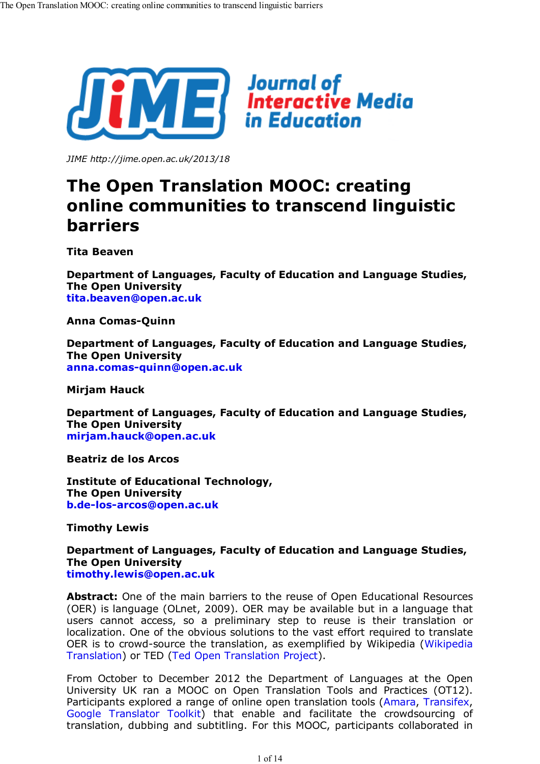

*JIME http://jime.open.ac.uk/2013/18*

# **The Open Translation MOOC: creating online communities to transcend linguistic barriers**

**Tita Beaven**

**Department of Languages, Faculty of Education and Language Studies, The Open University tita.beaven@open.ac.uk**

**Anna Comas-Quinn**

**Department of Languages, Faculty of Education and Language Studies, The Open University anna.comas-quinn@open.ac.uk**

**Mirjam Hauck**

**Department of Languages, Faculty of Education and Language Studies, The Open University mirjam.hauck@open.ac.uk**

**Beatriz de los Arcos**

**Institute of Educational Technology, The Open University b.de-los-arcos@open.ac.uk**

**Timothy Lewis**

**Department of Languages, Faculty of Education and Language Studies, The Open University timothy.lewis@open.ac.uk**

**Abstract:** One of the main barriers to the reuse of Open Educational Resources (OER) is language (OLnet, 2009). OER may be available but in a language that users cannot access, so a preliminary step to reuse is their translation or localization. One of the obvious solutions to the vast effort required to translate OER is to crowd-source the translation, as exemplified by Wikipedia (Wikipedia Translation) or TED (Ted Open Translation Project).

From October to December 2012 the Department of Languages at the Open University UK ran a MOOC on Open Translation Tools and Practices (OT12). Participants explored a range of online open translation tools (Amara, Transifex, Google Translator Toolkit) that enable and facilitate the crowdsourcing of translation, dubbing and subtitling. For this MOOC, participants collaborated in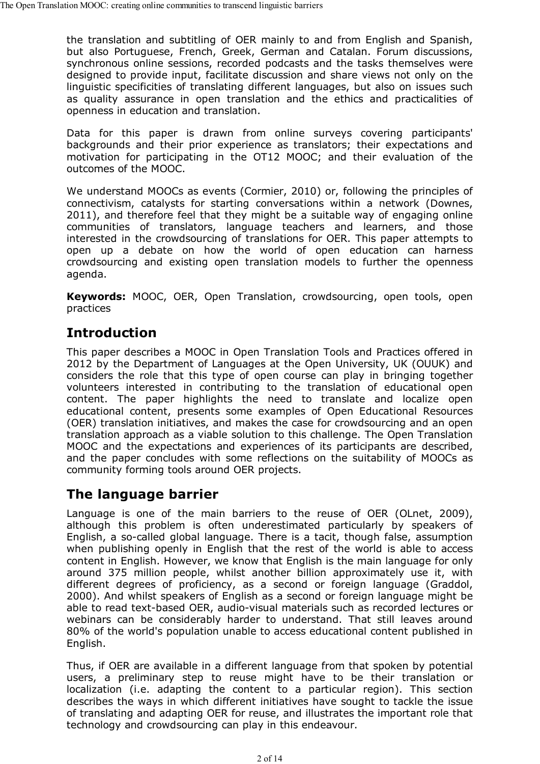the translation and subtitling of OER mainly to and from English and Spanish, but also Portuguese, French, Greek, German and Catalan. Forum discussions, synchronous online sessions, recorded podcasts and the tasks themselves were designed to provide input, facilitate discussion and share views not only on the linguistic specificities of translating different languages, but also on issues such as quality assurance in open translation and the ethics and practicalities of openness in education and translation.

Data for this paper is drawn from online surveys covering participants' backgrounds and their prior experience as translators; their expectations and motivation for participating in the OT12 MOOC; and their evaluation of the outcomes of the MOOC.

We understand MOOCs as events (Cormier, 2010) or, following the principles of connectivism, catalysts for starting conversations within a network (Downes, 2011), and therefore feel that they might be a suitable way of engaging online communities of translators, language teachers and learners, and those interested in the crowdsourcing of translations for OER. This paper attempts to open up a debate on how the world of open education can harness crowdsourcing and existing open translation models to further the openness agenda.

**Keywords:** MOOC, OER, Open Translation, crowdsourcing, open tools, open practices

# **Introduction**

This paper describes a MOOC in Open Translation Tools and Practices offered in 2012 by the Department of Languages at the Open University, UK (OUUK) and considers the role that this type of open course can play in bringing together volunteers interested in contributing to the translation of educational open content. The paper highlights the need to translate and localize open educational content, presents some examples of Open Educational Resources (OER) translation initiatives, and makes the case for crowdsourcing and an open translation approach as a viable solution to this challenge. The Open Translation MOOC and the expectations and experiences of its participants are described, and the paper concludes with some reflections on the suitability of MOOCs as community forming tools around OER projects.

### **The language barrier**

Language is one of the main barriers to the reuse of OER (OLnet, 2009), although this problem is often underestimated particularly by speakers of English, a so-called global language. There is a tacit, though false, assumption when publishing openly in English that the rest of the world is able to access content in English. However, we know that English is the main language for only around 375 million people, whilst another billion approximately use it, with different degrees of proficiency, as a second or foreign language (Graddol, 2000). And whilst speakers of English as a second or foreign language might be able to read text-based OER, audio-visual materials such as recorded lectures or webinars can be considerably harder to understand. That still leaves around 80% of the world's population unable to access educational content published in English.

Thus, if OER are available in a different language from that spoken by potential users, a preliminary step to reuse might have to be their translation or localization (i.e. adapting the content to a particular region). This section describes the ways in which different initiatives have sought to tackle the issue of translating and adapting OER for reuse, and illustrates the important role that technology and crowdsourcing can play in this endeavour.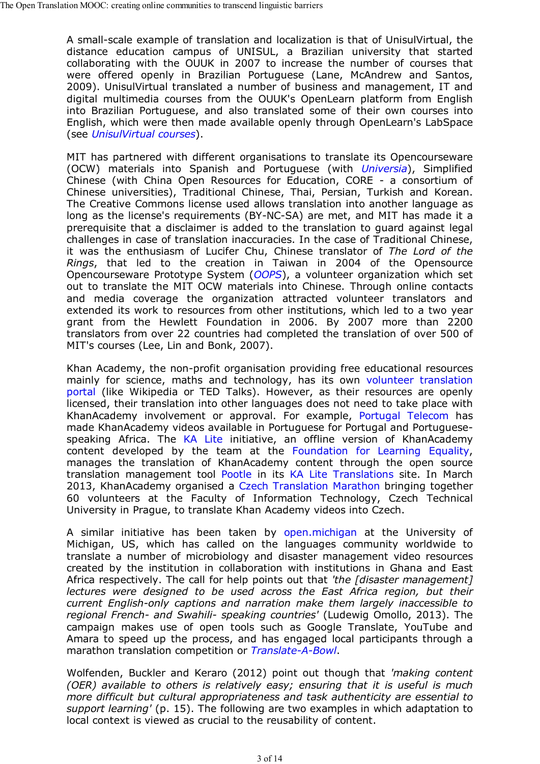A small-scale example of translation and localization is that of UnisulVirtual, the distance education campus of UNISUL, a Brazilian university that started collaborating with the OUUK in 2007 to increase the number of courses that were offered openly in Brazilian Portuguese (Lane, McAndrew and Santos, 2009). UnisulVirtual translated a number of business and management, IT and digital multimedia courses from the OUUK's OpenLearn platform from English into Brazilian Portuguese, and also translated some of their own courses into English, which were then made available openly through OpenLearn's LabSpace (see *UnisulVirtual courses*).

MIT has partnered with different organisations to translate its Opencourseware (OCW) materials into Spanish and Portuguese (with *Universia*), Simplified Chinese (with China Open Resources for Education, CORE - a consortium of Chinese universities), Traditional Chinese, Thai, Persian, Turkish and Korean. The Creative Commons license used allows translation into another language as long as the license's requirements (BY-NC-SA) are met, and MIT has made it a prerequisite that a disclaimer is added to the translation to guard against legal challenges in case of translation inaccuracies. In the case of Traditional Chinese, it was the enthusiasm of Lucifer Chu, Chinese translator of *The Lord of the Rings*, that led to the creation in Taiwan in 2004 of the Opensource Opencourseware Prototype System (*OOPS*), a volunteer organization which set out to translate the MIT OCW materials into Chinese. Through online contacts and media coverage the organization attracted volunteer translators and extended its work to resources from other institutions, which led to a two year grant from the Hewlett Foundation in 2006. By 2007 more than 2200 translators from over 22 countries had completed the translation of over 500 of MIT's courses (Lee, Lin and Bonk, 2007).

Khan Academy, the non-profit organisation providing free educational resources mainly for science, maths and technology, has its own volunteer translation portal (like Wikipedia or TED Talks). However, as their resources are openly licensed, their translation into other languages does not need to take place with KhanAcademy involvement or approval. For example, Portugal Telecom has made KhanAcademy videos available in Portuguese for Portugal and Portuguesespeaking Africa. The KA Lite initiative, an offline version of KhanAcademy content developed by the team at the Foundation for Learning Equality, manages the translation of KhanAcademy content through the open source translation management tool Pootle in its KA Lite Translations site. In March 2013, KhanAcademy organised a Czech Translation Marathon bringing together 60 volunteers at the Faculty of Information Technology, Czech Technical University in Prague, to translate Khan Academy videos into Czech.

A similar initiative has been taken by open.michigan at the University of Michigan, US, which has called on the languages community worldwide to translate a number of microbiology and disaster management video resources created by the institution in collaboration with institutions in Ghana and East Africa respectively. The call for help points out that *'the [disaster management] lectures were designed to be used across the East Africa region, but their current English-only captions and narration make them largely inaccessible to regional French- and Swahili- speaking countries'* (Ludewig Omollo, 2013). The campaign makes use of open tools such as Google Translate, YouTube and Amara to speed up the process, and has engaged local participants through a marathon translation competition or *Translate-A-Bowl*.

Wolfenden, Buckler and Keraro (2012) point out though that *'making content (OER) available to others is relatively easy; ensuring that it is useful is much more difficult but cultural appropriateness and task authenticity are essential to support learning'* (p. 15). The following are two examples in which adaptation to local context is viewed as crucial to the reusability of content.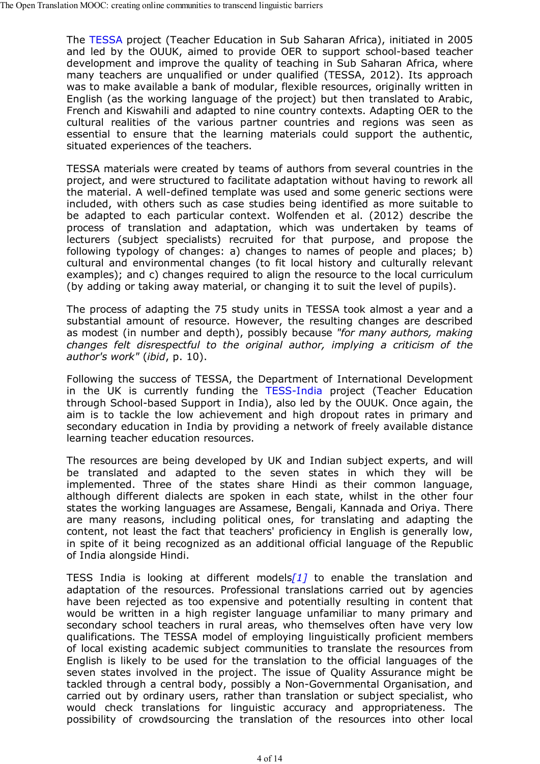The TESSA project (Teacher Education in Sub Saharan Africa), initiated in 2005 and led by the OUUK, aimed to provide OER to support school-based teacher development and improve the quality of teaching in Sub Saharan Africa, where many teachers are unqualified or under qualified (TESSA, 2012). Its approach was to make available a bank of modular, flexible resources, originally written in English (as the working language of the project) but then translated to Arabic, French and Kiswahili and adapted to nine country contexts. Adapting OER to the cultural realities of the various partner countries and regions was seen as essential to ensure that the learning materials could support the authentic, situated experiences of the teachers.

TESSA materials were created by teams of authors from several countries in the project, and were structured to facilitate adaptation without having to rework all the material. A well-defined template was used and some generic sections were included, with others such as case studies being identified as more suitable to be adapted to each particular context. Wolfenden et al. (2012) describe the process of translation and adaptation, which was undertaken by teams of lecturers (subject specialists) recruited for that purpose, and propose the following typology of changes: a) changes to names of people and places; b) cultural and environmental changes (to fit local history and culturally relevant examples); and c) changes required to align the resource to the local curriculum (by adding or taking away material, or changing it to suit the level of pupils).

The process of adapting the 75 study units in TESSA took almost a year and a substantial amount of resource. However, the resulting changes are described as modest (in number and depth), possibly because *"for many authors, making changes felt disrespectful to the original author, implying a criticism of the author's work"* (*ibid*, p. 10).

Following the success of TESSA, the Department of International Development in the UK is currently funding the TESS-India project (Teacher Education through School-based Support in India), also led by the OUUK. Once again, the aim is to tackle the low achievement and high dropout rates in primary and secondary education in India by providing a network of freely available distance learning teacher education resources.

The resources are being developed by UK and Indian subject experts, and will be translated and adapted to the seven states in which they will be implemented. Three of the states share Hindi as their common language, although different dialects are spoken in each state, whilst in the other four states the working languages are Assamese, Bengali, Kannada and Oriya. There are many reasons, including political ones, for translating and adapting the content, not least the fact that teachers' proficiency in English is generally low, in spite of it being recognized as an additional official language of the Republic of India alongside Hindi.

TESS India is looking at different models*[1]* to enable the translation and adaptation of the resources. Professional translations carried out by agencies have been rejected as too expensive and potentially resulting in content that would be written in a high register language unfamiliar to many primary and secondary school teachers in rural areas, who themselves often have very low qualifications. The TESSA model of employing linguistically proficient members of local existing academic subject communities to translate the resources from English is likely to be used for the translation to the official languages of the seven states involved in the project. The issue of Quality Assurance might be tackled through a central body, possibly a Non-Governmental Organisation, and carried out by ordinary users, rather than translation or subject specialist, who would check translations for linguistic accuracy and appropriateness. The possibility of crowdsourcing the translation of the resources into other local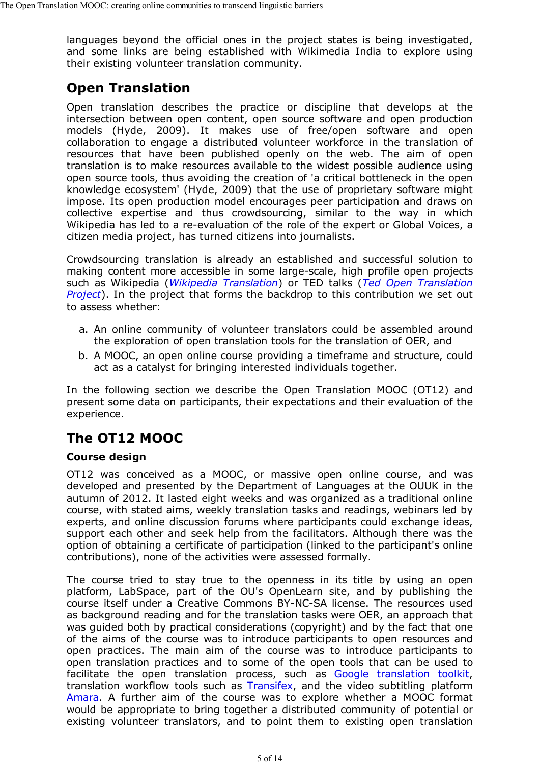languages beyond the official ones in the project states is being investigated, and some links are being established with Wikimedia India to explore using their existing volunteer translation community.

# **Open Translation**

Open translation describes the practice or discipline that develops at the intersection between open content, open source software and open production models (Hyde, 2009). It makes use of free/open software and open collaboration to engage a distributed volunteer workforce in the translation of resources that have been published openly on the web. The aim of open translation is to make resources available to the widest possible audience using open source tools, thus avoiding the creation of 'a critical bottleneck in the open knowledge ecosystem' (Hyde, 2009) that the use of proprietary software might impose. Its open production model encourages peer participation and draws on collective expertise and thus crowdsourcing, similar to the way in which Wikipedia has led to a re-evaluation of the role of the expert or Global Voices, a citizen media project, has turned citizens into journalists.

Crowdsourcing translation is already an established and successful solution to making content more accessible in some large-scale, high profile open projects such as Wikipedia (*Wikipedia Translation*) or TED talks (*Ted Open Translation Project*). In the project that forms the backdrop to this contribution we set out to assess whether:

- a. An online community of volunteer translators could be assembled around the exploration of open translation tools for the translation of OER, and
- b. A MOOC, an open online course providing a timeframe and structure, could act as a catalyst for bringing interested individuals together.

In the following section we describe the Open Translation MOOC (OT12) and present some data on participants, their expectations and their evaluation of the experience.

# **The OT12 MOOC**

#### **Course design**

OT12 was conceived as a MOOC, or massive open online course, and was developed and presented by the Department of Languages at the OUUK in the autumn of 2012. It lasted eight weeks and was organized as a traditional online course, with stated aims, weekly translation tasks and readings, webinars led by experts, and online discussion forums where participants could exchange ideas, support each other and seek help from the facilitators. Although there was the option of obtaining a certificate of participation (linked to the participant's online contributions), none of the activities were assessed formally.

The course tried to stay true to the openness in its title by using an open platform, LabSpace, part of the OU's OpenLearn site, and by publishing the course itself under a Creative Commons BY-NC-SA license. The resources used as background reading and for the translation tasks were OER, an approach that was guided both by practical considerations (copyright) and by the fact that one of the aims of the course was to introduce participants to open resources and open practices. The main aim of the course was to introduce participants to open translation practices and to some of the open tools that can be used to facilitate the open translation process, such as Google translation toolkit, translation workflow tools such as Transifex, and the video subtitling platform Amara. A further aim of the course was to explore whether a MOOC format would be appropriate to bring together a distributed community of potential or existing volunteer translators, and to point them to existing open translation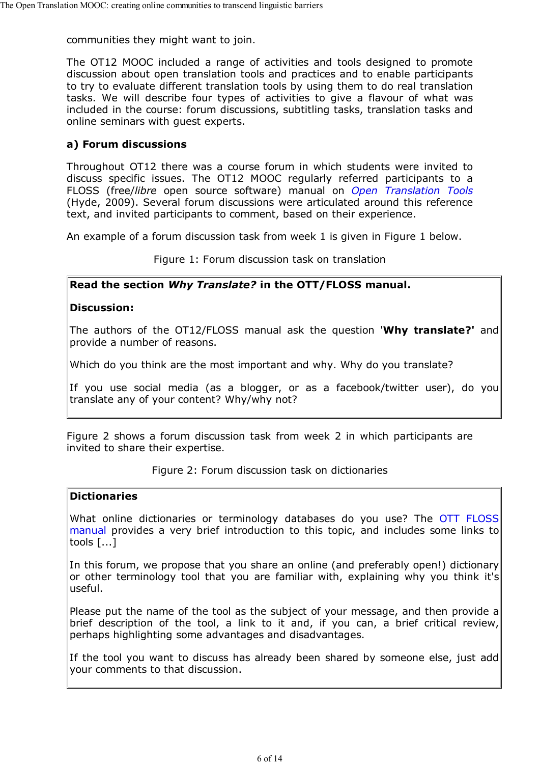communities they might want to join.

The OT12 MOOC included a range of activities and tools designed to promote discussion about open translation tools and practices and to enable participants to try to evaluate different translation tools by using them to do real translation tasks. We will describe four types of activities to give a flavour of what was included in the course: forum discussions, subtitling tasks, translation tasks and online seminars with guest experts.

#### **a) Forum discussions**

Throughout OT12 there was a course forum in which students were invited to discuss specific issues. The OT12 MOOC regularly referred participants to a FLOSS (free/*libre* open source software) manual on *Open Translation Tools* (Hyde, 2009). Several forum discussions were articulated around this reference text, and invited participants to comment, based on their experience.

An example of a forum discussion task from week 1 is given in Figure 1 below.

Figure 1: Forum discussion task on translation

#### **Read the section** *Why Translate?* **in the OTT/FLOSS manual.**

#### **Discussion:**

The authors of the OT12/FLOSS manual ask the question '**Why translate?'** and provide a number of reasons.

Which do you think are the most important and why. Why do you translate?

If you use social media (as a blogger, or as a facebook/twitter user), do you translate any of your content? Why/why not?

Figure 2 shows a forum discussion task from week 2 in which participants are invited to share their expertise.

#### Figure 2: Forum discussion task on dictionaries

#### **Dictionaries**

What online dictionaries or terminology databases do you use? The OTT FLOSS manual provides a very brief introduction to this topic, and includes some links to tools [...]

In this forum, we propose that you share an online (and preferably open!) dictionary or other terminology tool that you are familiar with, explaining why you think it's useful.

Please put the name of the tool as the subject of your message, and then provide a brief description of the tool, a link to it and, if you can, a brief critical review, perhaps highlighting some advantages and disadvantages.

If the tool you want to discuss has already been shared by someone else, just add your comments to that discussion.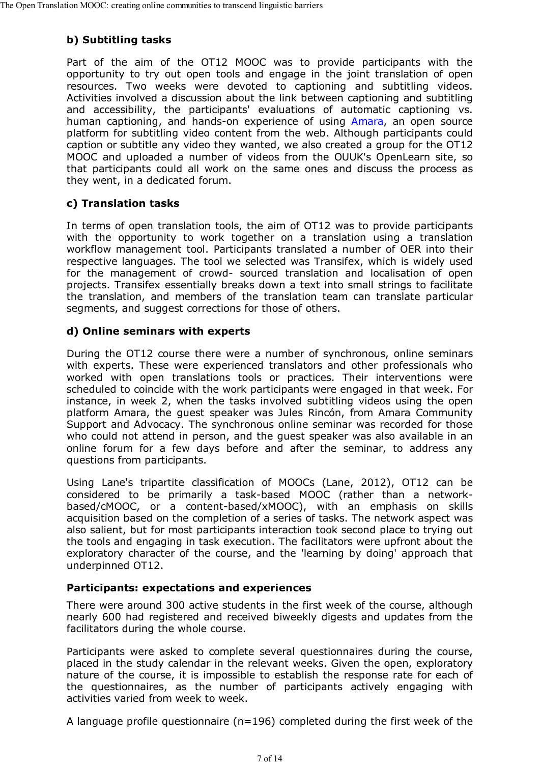### **b) Subtitling tasks**

Part of the aim of the OT12 MOOC was to provide participants with the opportunity to try out open tools and engage in the joint translation of open resources. Two weeks were devoted to captioning and subtitling videos. Activities involved a discussion about the link between captioning and subtitling and accessibility, the participants' evaluations of automatic captioning vs. human captioning, and hands-on experience of using Amara, an open source platform for subtitling video content from the web. Although participants could caption or subtitle any video they wanted, we also created a group for the OT12 MOOC and uploaded a number of videos from the OUUK's OpenLearn site, so that participants could all work on the same ones and discuss the process as they went, in a dedicated forum.

### **c) Translation tasks**

In terms of open translation tools, the aim of OT12 was to provide participants with the opportunity to work together on a translation using a translation workflow management tool. Participants translated a number of OER into their respective languages. The tool we selected was Transifex, which is widely used for the management of crowd- sourced translation and localisation of open projects. Transifex essentially breaks down a text into small strings to facilitate the translation, and members of the translation team can translate particular segments, and suggest corrections for those of others.

### **d) Online seminars with experts**

During the OT12 course there were a number of synchronous, online seminars with experts. These were experienced translators and other professionals who worked with open translations tools or practices. Their interventions were scheduled to coincide with the work participants were engaged in that week. For instance, in week 2, when the tasks involved subtitling videos using the open platform Amara, the guest speaker was Jules Rincón, from Amara Community Support and Advocacy. The synchronous online seminar was recorded for those who could not attend in person, and the guest speaker was also available in an online forum for a few days before and after the seminar, to address any questions from participants.

Using Lane's tripartite classification of MOOCs (Lane, 2012), OT12 can be considered to be primarily a task-based MOOC (rather than a networkbased/cMOOC, or a content-based/xMOOC), with an emphasis on skills acquisition based on the completion of a series of tasks. The network aspect was also salient, but for most participants interaction took second place to trying out the tools and engaging in task execution. The facilitators were upfront about the exploratory character of the course, and the 'learning by doing' approach that underpinned OT12.

#### **Participants: expectations and experiences**

There were around 300 active students in the first week of the course, although nearly 600 had registered and received biweekly digests and updates from the facilitators during the whole course.

Participants were asked to complete several questionnaires during the course, placed in the study calendar in the relevant weeks. Given the open, exploratory nature of the course, it is impossible to establish the response rate for each of the questionnaires, as the number of participants actively engaging with activities varied from week to week.

A language profile questionnaire ( $n=196$ ) completed during the first week of the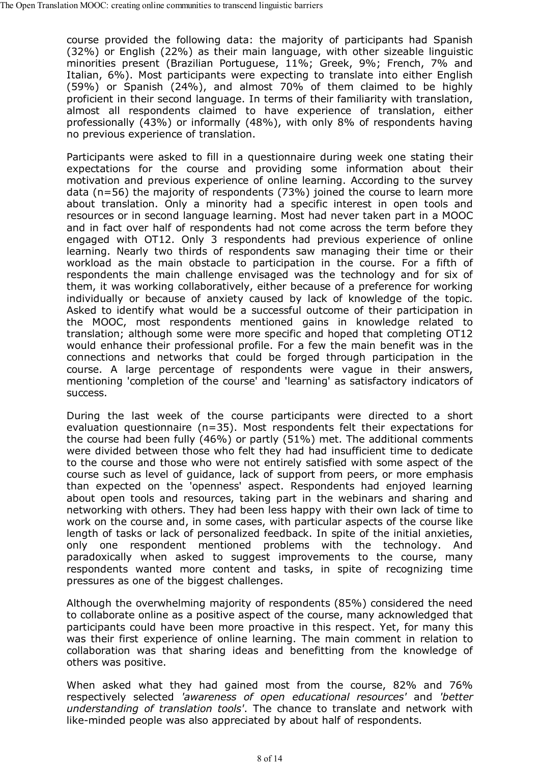course provided the following data: the majority of participants had Spanish (32%) or English (22%) as their main language, with other sizeable linguistic minorities present (Brazilian Portuguese, 11%; Greek, 9%; French, 7% and Italian, 6%). Most participants were expecting to translate into either English (59%) or Spanish (24%), and almost 70% of them claimed to be highly proficient in their second language. In terms of their familiarity with translation, almost all respondents claimed to have experience of translation, either professionally (43%) or informally (48%), with only 8% of respondents having no previous experience of translation.

Participants were asked to fill in a questionnaire during week one stating their expectations for the course and providing some information about their motivation and previous experience of online learning. According to the survey data (n=56) the majority of respondents (73%) joined the course to learn more about translation. Only a minority had a specific interest in open tools and resources or in second language learning. Most had never taken part in a MOOC and in fact over half of respondents had not come across the term before they engaged with OT12. Only 3 respondents had previous experience of online learning. Nearly two thirds of respondents saw managing their time or their workload as the main obstacle to participation in the course. For a fifth of respondents the main challenge envisaged was the technology and for six of them, it was working collaboratively, either because of a preference for working individually or because of anxiety caused by lack of knowledge of the topic. Asked to identify what would be a successful outcome of their participation in the MOOC, most respondents mentioned gains in knowledge related to translation; although some were more specific and hoped that completing OT12 would enhance their professional profile. For a few the main benefit was in the connections and networks that could be forged through participation in the course. A large percentage of respondents were vague in their answers, mentioning 'completion of the course' and 'learning' as satisfactory indicators of success.

During the last week of the course participants were directed to a short evaluation questionnaire (n=35). Most respondents felt their expectations for the course had been fully (46%) or partly (51%) met. The additional comments were divided between those who felt they had had insufficient time to dedicate to the course and those who were not entirely satisfied with some aspect of the course such as level of guidance, lack of support from peers, or more emphasis than expected on the 'openness' aspect. Respondents had enjoyed learning about open tools and resources, taking part in the webinars and sharing and networking with others. They had been less happy with their own lack of time to work on the course and, in some cases, with particular aspects of the course like length of tasks or lack of personalized feedback. In spite of the initial anxieties, only one respondent mentioned problems with the technology. And paradoxically when asked to suggest improvements to the course, many respondents wanted more content and tasks, in spite of recognizing time pressures as one of the biggest challenges.

Although the overwhelming majority of respondents (85%) considered the need to collaborate online as a positive aspect of the course, many acknowledged that participants could have been more proactive in this respect. Yet, for many this was their first experience of online learning. The main comment in relation to collaboration was that sharing ideas and benefitting from the knowledge of others was positive.

When asked what they had gained most from the course, 82% and 76% respectively selected *'awareness of open educational resources'* and *'better understanding of translation tools'*. The chance to translate and network with like-minded people was also appreciated by about half of respondents.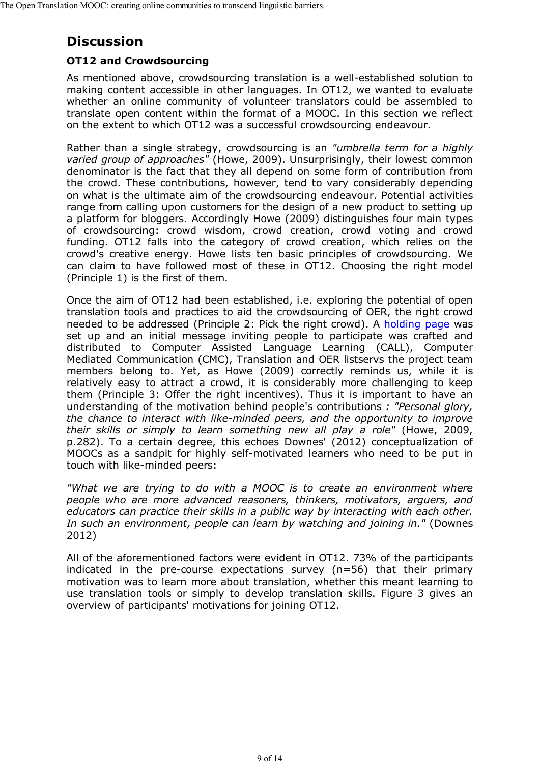# **Discussion**

### **OT12 and Crowdsourcing**

As mentioned above, crowdsourcing translation is a well-established solution to making content accessible in other languages. In OT12, we wanted to evaluate whether an online community of volunteer translators could be assembled to translate open content within the format of a MOOC. In this section we reflect on the extent to which OT12 was a successful crowdsourcing endeavour.

Rather than a single strategy, crowdsourcing is an *"umbrella term for a highly varied group of approaches"* (Howe, 2009). Unsurprisingly, their lowest common denominator is the fact that they all depend on some form of contribution from the crowd. These contributions, however, tend to vary considerably depending on what is the ultimate aim of the crowdsourcing endeavour. Potential activities range from calling upon customers for the design of a new product to setting up a platform for bloggers. Accordingly Howe (2009) distinguishes four main types of crowdsourcing: crowd wisdom, crowd creation, crowd voting and crowd funding. OT12 falls into the category of crowd creation, which relies on the crowd's creative energy. Howe lists ten basic principles of crowdsourcing. We can claim to have followed most of these in OT12. Choosing the right model (Principle 1) is the first of them.

Once the aim of OT12 had been established, i.e. exploring the potential of open translation tools and practices to aid the crowdsourcing of OER, the right crowd needed to be addressed (Principle 2: Pick the right crowd). A holding page was set up and an initial message inviting people to participate was crafted and distributed to Computer Assisted Language Learning (CALL), Computer Mediated Communication (CMC), Translation and OER listservs the project team members belong to. Yet, as Howe (2009) correctly reminds us, while it is relatively easy to attract a crowd, it is considerably more challenging to keep them (Principle 3: Offer the right incentives). Thus it is important to have an understanding of the motivation behind people's contributions *: "Personal glory, the chance to interact with like-minded peers, and the opportunity to improve their skills or simply to learn something new all play a role"* (Howe, 2009, p.282). To a certain degree, this echoes Downes' (2012) conceptualization of MOOCs as a sandpit for highly self-motivated learners who need to be put in touch with like-minded peers:

*"What we are trying to do with a MOOC is to create an environment where people who are more advanced reasoners, thinkers, motivators, arguers, and educators can practice their skills in a public way by interacting with each other. In such an environment, people can learn by watching and joining in."* (Downes 2012)

All of the aforementioned factors were evident in OT12. 73% of the participants indicated in the pre-course expectations survey (n=56) that their primary motivation was to learn more about translation, whether this meant learning to use translation tools or simply to develop translation skills. Figure 3 gives an overview of participants' motivations for joining OT12.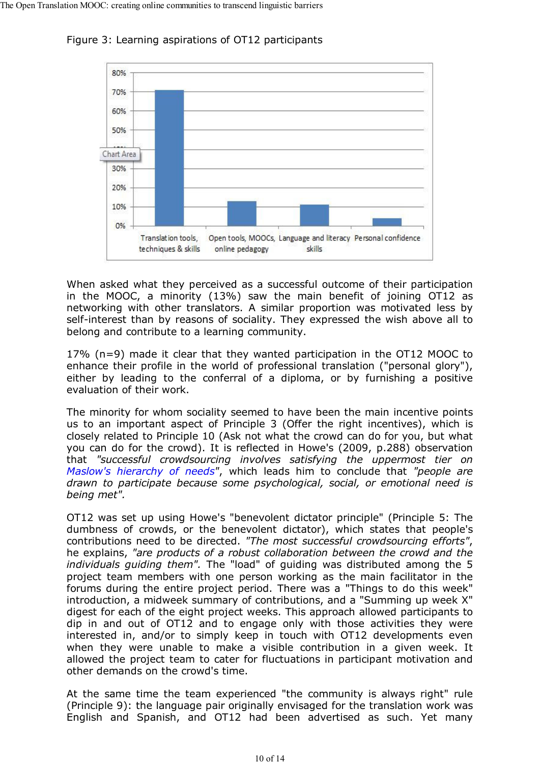

Figure 3: Learning aspirations of OT12 participants

When asked what they perceived as a successful outcome of their participation in the MOOC, a minority (13%) saw the main benefit of joining OT12 as networking with other translators. A similar proportion was motivated less by self-interest than by reasons of sociality. They expressed the wish above all to belong and contribute to a learning community.

17% (n=9) made it clear that they wanted participation in the OT12 MOOC to enhance their profile in the world of professional translation ("personal glory"), either by leading to the conferral of a diploma, or by furnishing a positive evaluation of their work.

The minority for whom sociality seemed to have been the main incentive points us to an important aspect of Principle 3 (Offer the right incentives), which is closely related to Principle 10 (Ask not what the crowd can do for you, but what you can do for the crowd). It is reflected in Howe's (2009, p.288) observation that *"successful crowdsourcing involves satisfying the uppermost tier on Maslow's hierarchy of needs"*, which leads him to conclude that *"people are drawn to participate because some psychological, social, or emotional need is being met".*

OT12 was set up using Howe's "benevolent dictator principle" (Principle 5: The dumbness of crowds, or the benevolent dictator), which states that people's contributions need to be directed. *"The most successful crowdsourcing efforts"*, he explains, *"are products of a robust collaboration between the crowd and the individuals guiding them".* The "load" of guiding was distributed among the 5 project team members with one person working as the main facilitator in the forums during the entire project period. There was a "Things to do this week" introduction, a midweek summary of contributions, and a "Summing up week X" digest for each of the eight project weeks. This approach allowed participants to dip in and out of OT12 and to engage only with those activities they were interested in, and/or to simply keep in touch with OT12 developments even when they were unable to make a visible contribution in a given week. It allowed the project team to cater for fluctuations in participant motivation and other demands on the crowd's time.

At the same time the team experienced "the community is always right" rule (Principle 9): the language pair originally envisaged for the translation work was English and Spanish, and OT12 had been advertised as such. Yet many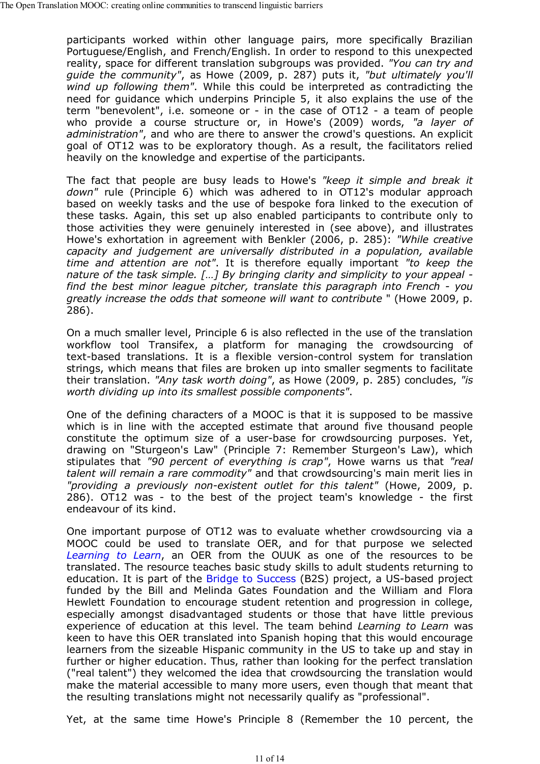participants worked within other language pairs, more specifically Brazilian Portuguese/English, and French/English. In order to respond to this unexpected reality, space for different translation subgroups was provided. *"You can try and guide the community"*, as Howe (2009, p. 287) puts it, *"but ultimately you'll wind up following them"*. While this could be interpreted as contradicting the need for guidance which underpins Principle 5, it also explains the use of the term "benevolent", i.e. someone or - in the case of OT12 - a team of people who provide a course structure or, in Howe's (2009) words, *"a layer of administration"*, and who are there to answer the crowd's questions. An explicit goal of OT12 was to be exploratory though. As a result, the facilitators relied heavily on the knowledge and expertise of the participants.

The fact that people are busy leads to Howe's *"keep it simple and break it down"* rule (Principle 6) which was adhered to in OT12's modular approach based on weekly tasks and the use of bespoke fora linked to the execution of these tasks. Again, this set up also enabled participants to contribute only to those activities they were genuinely interested in (see above), and illustrates Howe's exhortation in agreement with Benkler (2006, p. 285): *"While creative capacity and judgement are universally distributed in a population, available time and attention are not"*. It is therefore equally important *"to keep the nature of the task simple. […] By bringing clarity and simplicity to your appeal find the best minor league pitcher, translate this paragraph into French - you greatly increase the odds that someone will want to contribute* " (Howe 2009, p. 286).

On a much smaller level, Principle 6 is also reflected in the use of the translation workflow tool Transifex, a platform for managing the crowdsourcing of text-based translations. It is a flexible version-control system for translation strings, which means that files are broken up into smaller segments to facilitate their translation. *"Any task worth doing"*, as Howe (2009, p. 285) concludes, *"is worth dividing up into its smallest possible components"*.

One of the defining characters of a MOOC is that it is supposed to be massive which is in line with the accepted estimate that around five thousand people constitute the optimum size of a user-base for crowdsourcing purposes. Yet, drawing on "Sturgeon's Law" (Principle 7: Remember Sturgeon's Law), which stipulates that *"90 percent of everything is crap"*, Howe warns us that *"real talent will remain a rare commodity"* and that crowdsourcing's main merit lies in *"providing a previously non-existent outlet for this talent"* (Howe, 2009, p. 286). OT12 was - to the best of the project team's knowledge - the first endeavour of its kind.

One important purpose of OT12 was to evaluate whether crowdsourcing via a MOOC could be used to translate OER, and for that purpose we selected *Learning to Learn*, an OER from the OUUK as one of the resources to be translated. The resource teaches basic study skills to adult students returning to education. It is part of the Bridge to Success (B2S) project, a US-based project funded by the Bill and Melinda Gates Foundation and the William and Flora Hewlett Foundation to encourage student retention and progression in college, especially amongst disadvantaged students or those that have little previous experience of education at this level. The team behind *Learning to Learn* was keen to have this OER translated into Spanish hoping that this would encourage learners from the sizeable Hispanic community in the US to take up and stay in further or higher education. Thus, rather than looking for the perfect translation ("real talent") they welcomed the idea that crowdsourcing the translation would make the material accessible to many more users, even though that meant that the resulting translations might not necessarily qualify as "professional".

Yet, at the same time Howe's Principle 8 (Remember the 10 percent, the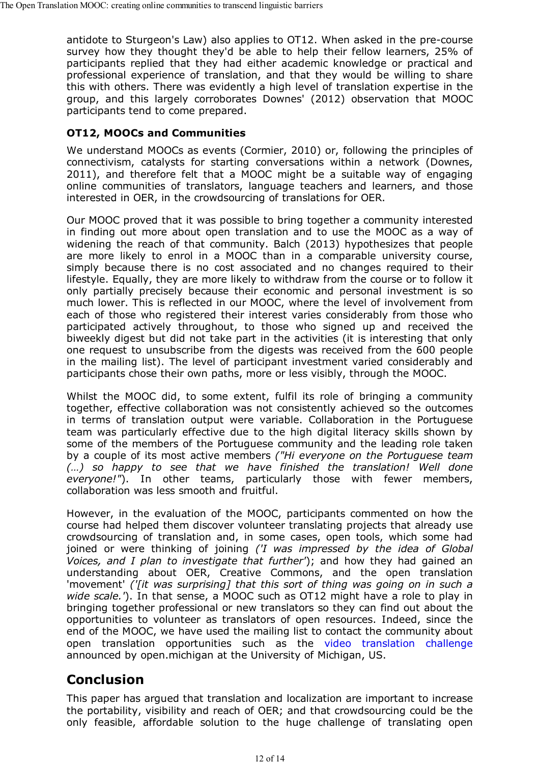antidote to Sturgeon's Law) also applies to OT12. When asked in the pre-course survey how they thought they'd be able to help their fellow learners, 25% of participants replied that they had either academic knowledge or practical and professional experience of translation, and that they would be willing to share this with others. There was evidently a high level of translation expertise in the group, and this largely corroborates Downes' (2012) observation that MOOC participants tend to come prepared.

### **OT12, MOOCs and Communities**

We understand MOOCs as events (Cormier, 2010) or, following the principles of connectivism, catalysts for starting conversations within a network (Downes, 2011), and therefore felt that a MOOC might be a suitable way of engaging online communities of translators, language teachers and learners, and those interested in OER, in the crowdsourcing of translations for OER.

Our MOOC proved that it was possible to bring together a community interested in finding out more about open translation and to use the MOOC as a way of widening the reach of that community. Balch (2013) hypothesizes that people are more likely to enrol in a MOOC than in a comparable university course, simply because there is no cost associated and no changes required to their lifestyle. Equally, they are more likely to withdraw from the course or to follow it only partially precisely because their economic and personal investment is so much lower. This is reflected in our MOOC, where the level of involvement from each of those who registered their interest varies considerably from those who participated actively throughout, to those who signed up and received the biweekly digest but did not take part in the activities (it is interesting that only one request to unsubscribe from the digests was received from the 600 people in the mailing list). The level of participant investment varied considerably and participants chose their own paths, more or less visibly, through the MOOC.

Whilst the MOOC did, to some extent, fulfil its role of bringing a community together, effective collaboration was not consistently achieved so the outcomes in terms of translation output were variable. Collaboration in the Portuguese team was particularly effective due to the high digital literacy skills shown by some of the members of the Portuguese community and the leading role taken by a couple of its most active members *("Hi everyone on the Portuguese team (…) so happy to see that we have finished the translation! Well done everyone!"*). In other teams, particularly those with fewer members, collaboration was less smooth and fruitful.

However, in the evaluation of the MOOC, participants commented on how the course had helped them discover volunteer translating projects that already use crowdsourcing of translation and, in some cases, open tools, which some had joined or were thinking of joining *('I was impressed by the idea of Global Voices, and I plan to investigate that further'*); and how they had gained an understanding about OER, Creative Commons, and the open translation 'movement' *('[it was surprising] that this sort of thing was going on in such a wide scale.'*). In that sense, a MOOC such as OT12 might have a role to play in bringing together professional or new translators so they can find out about the opportunities to volunteer as translators of open resources. Indeed, since the end of the MOOC, we have used the mailing list to contact the community about open translation opportunities such as the video translation challenge announced by open.michigan at the University of Michigan, US.

# **Conclusion**

This paper has argued that translation and localization are important to increase the portability, visibility and reach of OER; and that crowdsourcing could be the only feasible, affordable solution to the huge challenge of translating open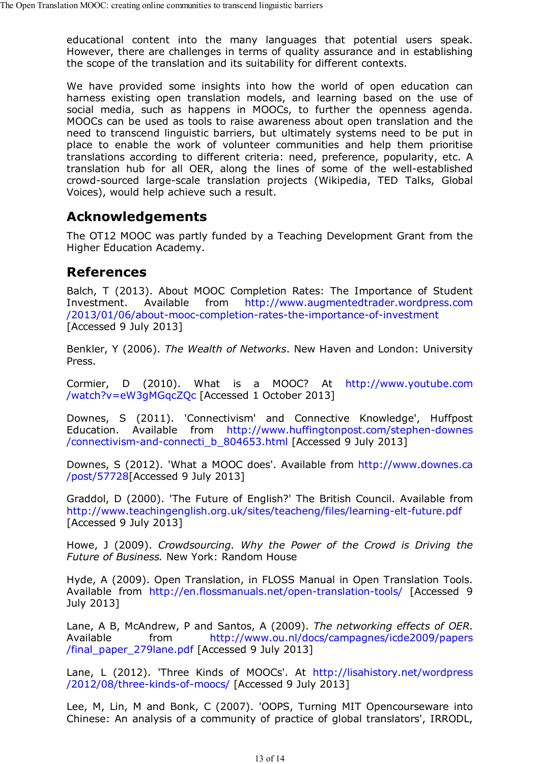educational content into the many languages that potential users speak. However, there are challenges in terms of quality assurance and in establishing the scope of the translation and its suitability for different contexts.

We have provided some insights into how the world of open education can harness existing open translation models, and learning based on the use of social media, such as happens in MOOCs, to further the openness agenda. MOOCs can be used as tools to raise awareness about open translation and the need to transcend linguistic barriers, but ultimately systems need to be put in place to enable the work of volunteer communities and help them prioritise translations according to different criteria: need, preference, popularity, etc. A translation hub for all OER, along the lines of some of the well-established crowd-sourced large-scale translation projects (Wikipedia, TED Talks, Global Voices), would help achieve such a result.

## **Acknowledgements**

The OT12 MOOC was partly funded by a Teaching Development Grant from the Higher Education Academy.

### **References**

Balch, T (2013). About MOOC Completion Rates: The Importance of Student Investment. Available from http://www.augmentedtrader.wordpress.com /2013/01/06/about-mooc-completion-rates-the-importance-of-investment [Accessed 9 July 2013]

Benkler, Y (2006). *The Wealth of Networks*. New Haven and London: University Press.

Cormier, D (2010). What is a MOOC? At http://www.youtube.com /watch?v=eW3gMGqcZQc [Accessed 1 October 2013]

Downes, S (2011). 'Connectivism' and Connective Knowledge', Huffpost Education. Available from http://www.huffingtonpost.com/stephen-downes /connectivism-and-connecti\_b\_804653.html [Accessed 9 July 2013]

Downes, S (2012). 'What a MOOC does'. Available from http://www.downes.ca /post/57728[Accessed 9 July 2013]

Graddol, D (2000). 'The Future of English?' The British Council. Available from http://www.teachingenglish.org.uk/sites/teacheng/files/learning-elt-future.pdf [Accessed 9 July 2013]

Howe, J (2009). *Crowdsourcing. Why the Power of the Crowd is Driving the Future of Business.* New York: Random House

Hyde, A (2009). Open Translation, in FLOSS Manual in Open Translation Tools. Available from http://en.flossmanuals.net/open-translation-tools/ [Accessed 9 July 2013]

Lane, A B, McAndrew, P and Santos, A (2009). *The networking effects of OER*. Available from http://www.ou.nl/docs/campagnes/icde2009/papers /final\_paper\_279lane.pdf [Accessed 9 July 2013]

Lane, L (2012). 'Three Kinds of MOOCs'. At http://lisahistory.net/wordpress /2012/08/three-kinds-of-moocs/ [Accessed 9 July 2013]

Lee, M, Lin, M and Bonk, C (2007). 'OOPS, Turning MIT Opencourseware into Chinese: An analysis of a community of practice of global translators', IRRODL,